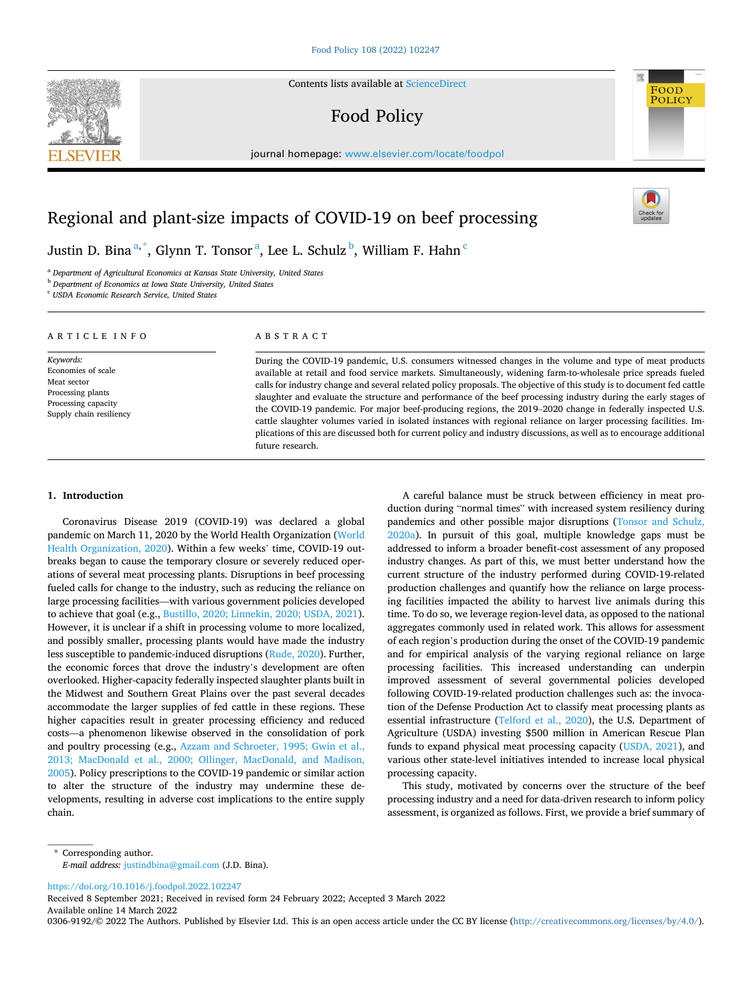Contents lists available at [ScienceDirect](www.sciencedirect.com/science/journal/03069192)

# Food Policy

journal homepage: [www.elsevier.com/locate/foodpol](https://www.elsevier.com/locate/foodpol) 

## Regional and plant-size impacts of COVID-19 on beef processing

Justin D. Bina $^{\mathrm{a},\mathrm{*}}$ , Glynn T. Tonsor $^{\mathrm{a}}$ , Lee L. Schulz $^{\mathrm{b}}$ , William F. Hahn $^{\mathrm{c}}$ 

<sup>a</sup> *Department of Agricultural Economics at Kansas State University, United States* 

<sup>b</sup> *Department of Economics at Iowa State University, United States* 

<sup>c</sup> *USDA Economic Research Service, United States* 

## ARTICLE INFO

*Keywords:*  Economies of scale Meat sector Processing plants Processing capacity Supply chain resiliency

## ABSTRACT

During the COVID-19 pandemic, U.S. consumers witnessed changes in the volume and type of meat products available at retail and food service markets. Simultaneously, widening farm-to-wholesale price spreads fueled calls for industry change and several related policy proposals. The objective of this study is to document fed cattle slaughter and evaluate the structure and performance of the beef processing industry during the early stages of the COVID-19 pandemic. For major beef-producing regions, the 2019–2020 change in federally inspected U.S. cattle slaughter volumes varied in isolated instances with regional reliance on larger processing facilities. Implications of this are discussed both for current policy and industry discussions, as well as to encourage additional future research.

## **1. Introduction**

Coronavirus Disease 2019 (COVID-19) was declared a global pandemic on March 11, 2020 by the World Health Organization ([World](#page-9-0)  [Health Organization, 2020](#page-9-0)). Within a few weeks' time, COVID-19 outbreaks began to cause the temporary closure or severely reduced operations of several meat processing plants. Disruptions in beef processing fueled calls for change to the industry, such as reducing the reliance on large processing facilities—with various government policies developed to achieve that goal (e.g., [Bustillo, 2020; Linnekin, 2020; USDA, 2021](#page-9-0)). However, it is unclear if a shift in processing volume to more localized, and possibly smaller, processing plants would have made the industry less susceptible to pandemic-induced disruptions ([Rude, 2020](#page-9-0)). Further, the economic forces that drove the industry's development are often overlooked. Higher-capacity federally inspected slaughter plants built in the Midwest and Southern Great Plains over the past several decades accommodate the larger supplies of fed cattle in these regions. These higher capacities result in greater processing efficiency and reduced costs—a phenomenon likewise observed in the consolidation of pork and poultry processing (e.g., [Azzam and Schroeter, 1995; Gwin et al.,](#page-9-0)  [2013; MacDonald et al., 2000; Ollinger, MacDonald, and Madison,](#page-9-0)  [2005\)](#page-9-0). Policy prescriptions to the COVID-19 pandemic or similar action to alter the structure of the industry may undermine these developments, resulting in adverse cost implications to the entire supply chain.

A careful balance must be struck between efficiency in meat production during "normal times" with increased system resiliency during pandemics and other possible major disruptions [\(Tonsor and Schulz,](#page-9-0)  [2020a\)](#page-9-0). In pursuit of this goal, multiple knowledge gaps must be addressed to inform a broader benefit-cost assessment of any proposed industry changes. As part of this, we must better understand how the current structure of the industry performed during COVID-19-related production challenges and quantify how the reliance on large processing facilities impacted the ability to harvest live animals during this time. To do so, we leverage region-level data, as opposed to the national aggregates commonly used in related work. This allows for assessment of each region's production during the onset of the COVID-19 pandemic and for empirical analysis of the varying regional reliance on large processing facilities. This increased understanding can underpin improved assessment of several governmental policies developed following COVID-19-related production challenges such as: the invocation of the Defense Production Act to classify meat processing plants as essential infrastructure ([Telford et al., 2020](#page-9-0)), the U.S. Department of Agriculture (USDA) investing \$500 million in American Rescue Plan funds to expand physical meat processing capacity [\(USDA, 2021\)](#page-9-0), and various other state-level initiatives intended to increase local physical processing capacity.

This study, motivated by concerns over the structure of the beef processing industry and a need for data-driven research to inform policy assessment, is organized as follows. First, we provide a brief summary of

\* Corresponding author. *E-mail address:* [justindbina@gmail.com](mailto:justindbina@gmail.com) (J.D. Bina).

<https://doi.org/10.1016/j.foodpol.2022.102247>

Available online 14 March 2022 Received 8 September 2021; Received in revised form 24 February 2022; Accepted 3 March 2022

0306-9192/© 2022 The Authors. Published by Elsevier Ltd. This is an open access article under the CC BY license [\(http://creativecommons.org/licenses/by/4.0/\)](http://creativecommons.org/licenses/by/4.0/).





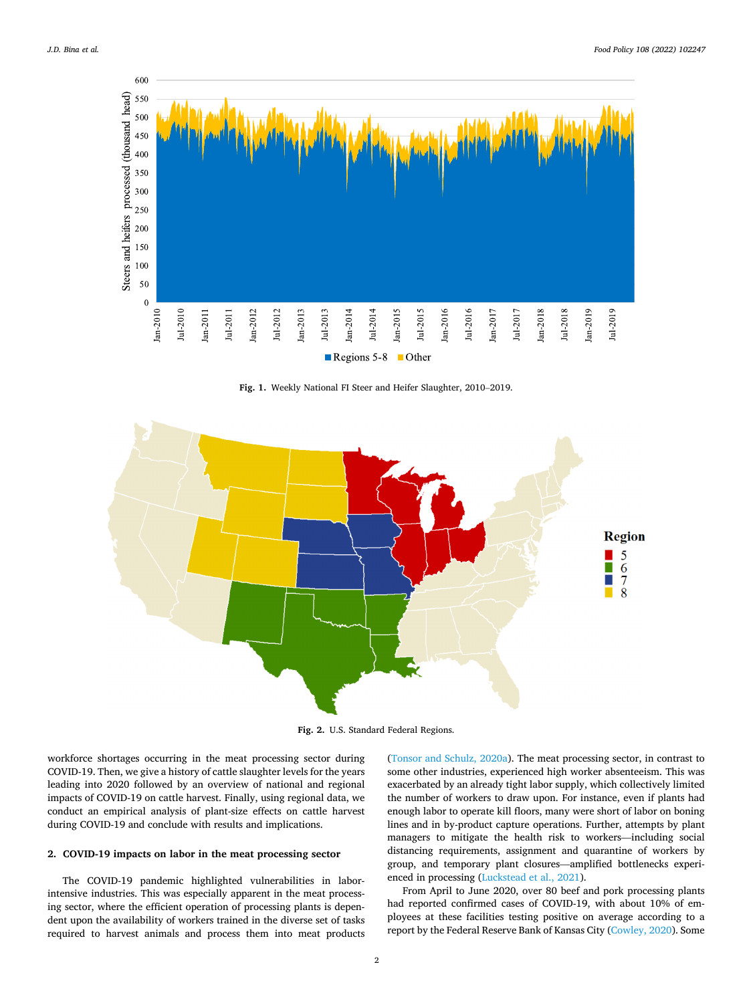<span id="page-1-0"></span>

**Fig. 1.** Weekly National FI Steer and Heifer Slaughter, 2010–2019.



**Fig. 2.** U.S. Standard Federal Regions.

workforce shortages occurring in the meat processing sector during COVID-19. Then, we give a history of cattle slaughter levels for the years leading into 2020 followed by an overview of national and regional impacts of COVID-19 on cattle harvest. Finally, using regional data, we conduct an empirical analysis of plant-size effects on cattle harvest during COVID-19 and conclude with results and implications.

## **2. COVID-19 impacts on labor in the meat processing sector**

The COVID-19 pandemic highlighted vulnerabilities in laborintensive industries. This was especially apparent in the meat processing sector, where the efficient operation of processing plants is dependent upon the availability of workers trained in the diverse set of tasks required to harvest animals and process them into meat products ([Tonsor and Schulz, 2020a\)](#page-9-0). The meat processing sector, in contrast to some other industries, experienced high worker absenteeism. This was exacerbated by an already tight labor supply, which collectively limited the number of workers to draw upon. For instance, even if plants had enough labor to operate kill floors, many were short of labor on boning lines and in by-product capture operations. Further, attempts by plant managers to mitigate the health risk to workers—including social distancing requirements, assignment and quarantine of workers by group, and temporary plant closures—amplified bottlenecks experienced in processing [\(Luckstead et al., 2021\)](#page-9-0).

From April to June 2020, over 80 beef and pork processing plants had reported confirmed cases of COVID-19, with about 10% of employees at these facilities testing positive on average according to a report by the Federal Reserve Bank of Kansas City [\(Cowley, 2020](#page-9-0)). Some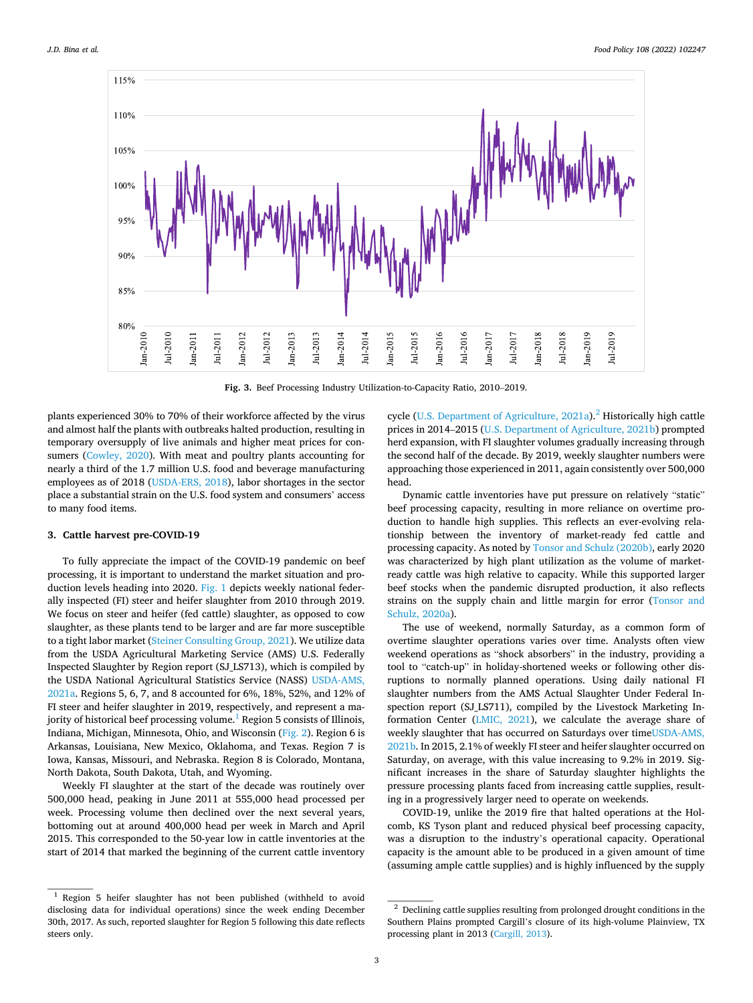<span id="page-2-0"></span>

**Fig. 3.** Beef Processing Industry Utilization-to-Capacity Ratio, 2010–2019.

plants experienced 30% to 70% of their workforce affected by the virus and almost half the plants with outbreaks halted production, resulting in temporary oversupply of live animals and higher meat prices for consumers [\(Cowley, 2020\)](#page-9-0). With meat and poultry plants accounting for nearly a third of the 1.7 million U.S. food and beverage manufacturing employees as of 2018 [\(USDA-ERS, 2018](#page-9-0)), labor shortages in the sector place a substantial strain on the U.S. food system and consumers' access to many food items.

## **3. Cattle harvest pre-COVID-19**

To fully appreciate the impact of the COVID-19 pandemic on beef processing, it is important to understand the market situation and production levels heading into 2020. [Fig. 1](#page-1-0) depicts weekly national federally inspected (FI) steer and heifer slaughter from 2010 through 2019. We focus on steer and heifer (fed cattle) slaughter, as opposed to cow slaughter, as these plants tend to be larger and are far more susceptible to a tight labor market ([Steiner Consulting Group, 2021\)](#page-9-0). We utilize data from the USDA Agricultural Marketing Service (AMS) U.S. Federally Inspected Slaughter by Region report (SJ\_LS713), which is compiled by the USDA National Agricultural Statistics Service (NASS) [USDA-AMS,](#page-9-0)  [2021a.](#page-9-0) Regions 5, 6, 7, and 8 accounted for 6%, 18%, 52%, and 12% of FI steer and heifer slaughter in 2019, respectively, and represent a majority of historical beef processing volume.<sup>1</sup> Region 5 consists of Illinois, Indiana, Michigan, Minnesota, Ohio, and Wisconsin [\(Fig. 2\)](#page-1-0). Region 6 is Arkansas, Louisiana, New Mexico, Oklahoma, and Texas. Region 7 is Iowa, Kansas, Missouri, and Nebraska. Region 8 is Colorado, Montana, North Dakota, South Dakota, Utah, and Wyoming.

Weekly FI slaughter at the start of the decade was routinely over 500,000 head, peaking in June 2011 at 555,000 head processed per week. Processing volume then declined over the next several years, bottoming out at around 400,000 head per week in March and April 2015. This corresponded to the 50-year low in cattle inventories at the start of 2014 that marked the beginning of the current cattle inventory cycle ([U.S. Department of Agriculture, 2021a](#page-9-0)).<sup>2</sup> Historically high cattle prices in 2014–2015 [\(U.S. Department of Agriculture, 2021b](#page-9-0)) prompted herd expansion, with FI slaughter volumes gradually increasing through the second half of the decade. By 2019, weekly slaughter numbers were approaching those experienced in 2011, again consistently over 500,000 head.

Dynamic cattle inventories have put pressure on relatively "static" beef processing capacity, resulting in more reliance on overtime production to handle high supplies. This reflects an ever-evolving relationship between the inventory of market-ready fed cattle and processing capacity. As noted by [Tonsor and Schulz \(2020b\)](#page-9-0), early 2020 was characterized by high plant utilization as the volume of marketready cattle was high relative to capacity. While this supported larger beef stocks when the pandemic disrupted production, it also reflects strains on the supply chain and little margin for error [\(Tonsor and](#page-9-0)  [Schulz, 2020a](#page-9-0)).

The use of weekend, normally Saturday, as a common form of overtime slaughter operations varies over time. Analysts often view weekend operations as "shock absorbers" in the industry, providing a tool to "catch-up" in holiday-shortened weeks or following other disruptions to normally planned operations. Using daily national FI slaughter numbers from the AMS Actual Slaughter Under Federal Inspection report (SJ\_LS711), compiled by the Livestock Marketing Information Center [\(LMIC, 2021\)](#page-9-0), we calculate the average share of weekly slaughter that has occurred on Saturdays over time[USDA-AMS,](#page-9-0)  [2021b.](#page-9-0) In 2015, 2.1% of weekly FI steer and heifer slaughter occurred on Saturday, on average, with this value increasing to 9.2% in 2019. Significant increases in the share of Saturday slaughter highlights the pressure processing plants faced from increasing cattle supplies, resulting in a progressively larger need to operate on weekends.

COVID-19, unlike the 2019 fire that halted operations at the Holcomb, KS Tyson plant and reduced physical beef processing capacity, was a disruption to the industry's operational capacity. Operational capacity is the amount able to be produced in a given amount of time (assuming ample cattle supplies) and is highly influenced by the supply

<sup>1</sup> Region 5 heifer slaughter has not been published (withheld to avoid disclosing data for individual operations) since the week ending December 30th, 2017. As such, reported slaughter for Region 5 following this date reflects steers only.

 $^{\rm 2}$  Declining cattle supplies resulting from prolonged drought conditions in the Southern Plains prompted Cargill's closure of its high-volume Plainview, TX processing plant in 2013 ([Cargill, 2013\)](#page-9-0).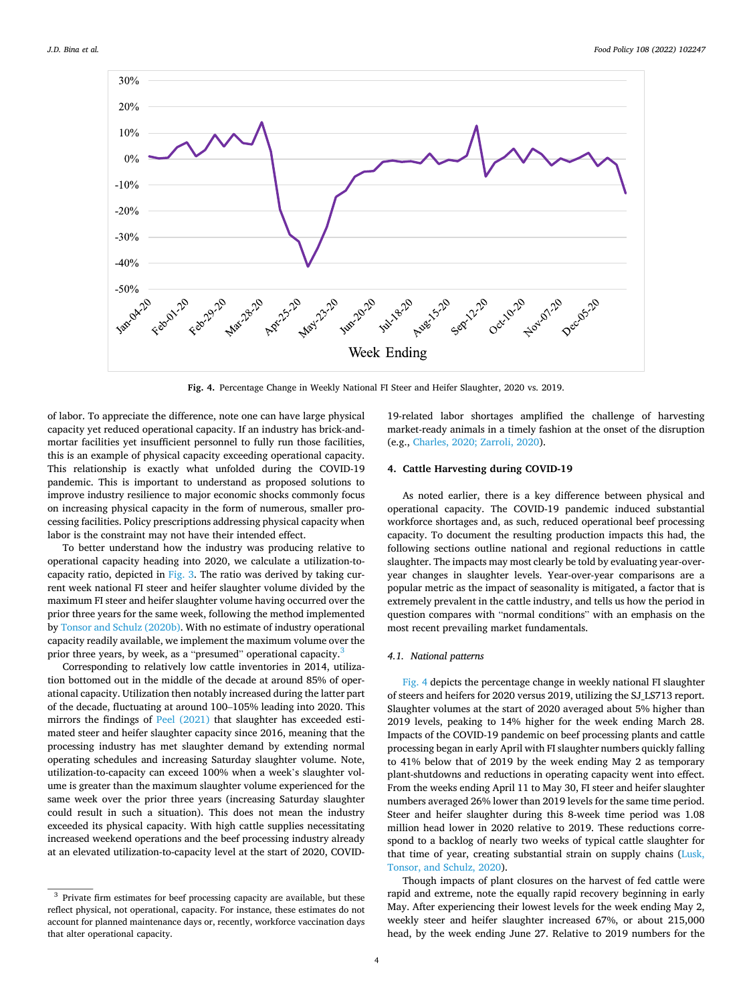

**Fig. 4.** Percentage Change in Weekly National FI Steer and Heifer Slaughter, 2020 vs. 2019.

of labor. To appreciate the difference, note one can have large physical capacity yet reduced operational capacity. If an industry has brick-andmortar facilities yet insufficient personnel to fully run those facilities, this is an example of physical capacity exceeding operational capacity. This relationship is exactly what unfolded during the COVID-19 pandemic. This is important to understand as proposed solutions to improve industry resilience to major economic shocks commonly focus on increasing physical capacity in the form of numerous, smaller processing facilities. Policy prescriptions addressing physical capacity when labor is the constraint may not have their intended effect.

To better understand how the industry was producing relative to operational capacity heading into 2020, we calculate a utilization-tocapacity ratio, depicted in [Fig. 3.](#page-2-0) The ratio was derived by taking current week national FI steer and heifer slaughter volume divided by the maximum FI steer and heifer slaughter volume having occurred over the prior three years for the same week, following the method implemented by [Tonsor and Schulz \(2020b\).](#page-9-0) With no estimate of industry operational capacity readily available, we implement the maximum volume over the prior three years, by week, as a "presumed" operational capacity.<sup>3</sup>

Corresponding to relatively low cattle inventories in 2014, utilization bottomed out in the middle of the decade at around 85% of operational capacity. Utilization then notably increased during the latter part of the decade, fluctuating at around 100–105% leading into 2020. This mirrors the findings of [Peel \(2021\)](#page-9-0) that slaughter has exceeded estimated steer and heifer slaughter capacity since 2016, meaning that the processing industry has met slaughter demand by extending normal operating schedules and increasing Saturday slaughter volume. Note, utilization-to-capacity can exceed 100% when a week's slaughter volume is greater than the maximum slaughter volume experienced for the same week over the prior three years (increasing Saturday slaughter could result in such a situation). This does not mean the industry exceeded its physical capacity. With high cattle supplies necessitating increased weekend operations and the beef processing industry already at an elevated utilization-to-capacity level at the start of 2020, COVID-

19-related labor shortages amplified the challenge of harvesting market-ready animals in a timely fashion at the onset of the disruption (e.g., [Charles, 2020; Zarroli, 2020\)](#page-9-0).

## **4. Cattle Harvesting during COVID-19**

As noted earlier, there is a key difference between physical and operational capacity. The COVID-19 pandemic induced substantial workforce shortages and, as such, reduced operational beef processing capacity. To document the resulting production impacts this had, the following sections outline national and regional reductions in cattle slaughter. The impacts may most clearly be told by evaluating year-overyear changes in slaughter levels. Year-over-year comparisons are a popular metric as the impact of seasonality is mitigated, a factor that is extremely prevalent in the cattle industry, and tells us how the period in question compares with "normal conditions" with an emphasis on the most recent prevailing market fundamentals.

## *4.1. National patterns*

Fig. 4 depicts the percentage change in weekly national FI slaughter of steers and heifers for 2020 versus 2019, utilizing the SJ\_LS713 report. Slaughter volumes at the start of 2020 averaged about 5% higher than 2019 levels, peaking to 14% higher for the week ending March 28. Impacts of the COVID-19 pandemic on beef processing plants and cattle processing began in early April with FI slaughter numbers quickly falling to 41% below that of 2019 by the week ending May 2 as temporary plant-shutdowns and reductions in operating capacity went into effect. From the weeks ending April 11 to May 30, FI steer and heifer slaughter numbers averaged 26% lower than 2019 levels for the same time period. Steer and heifer slaughter during this 8-week time period was 1.08 million head lower in 2020 relative to 2019. These reductions correspond to a backlog of nearly two weeks of typical cattle slaughter for that time of year, creating substantial strain on supply chains [\(Lusk,](#page-9-0)  [Tonsor, and Schulz, 2020\)](#page-9-0).

Though impacts of plant closures on the harvest of fed cattle were rapid and extreme, note the equally rapid recovery beginning in early May. After experiencing their lowest levels for the week ending May 2, weekly steer and heifer slaughter increased 67%, or about 215,000 head, by the week ending June 27. Relative to 2019 numbers for the

 $^3$  Private firm estimates for beef processing capacity are available, but these reflect physical, not operational, capacity. For instance, these estimates do not account for planned maintenance days or, recently, workforce vaccination days that alter operational capacity.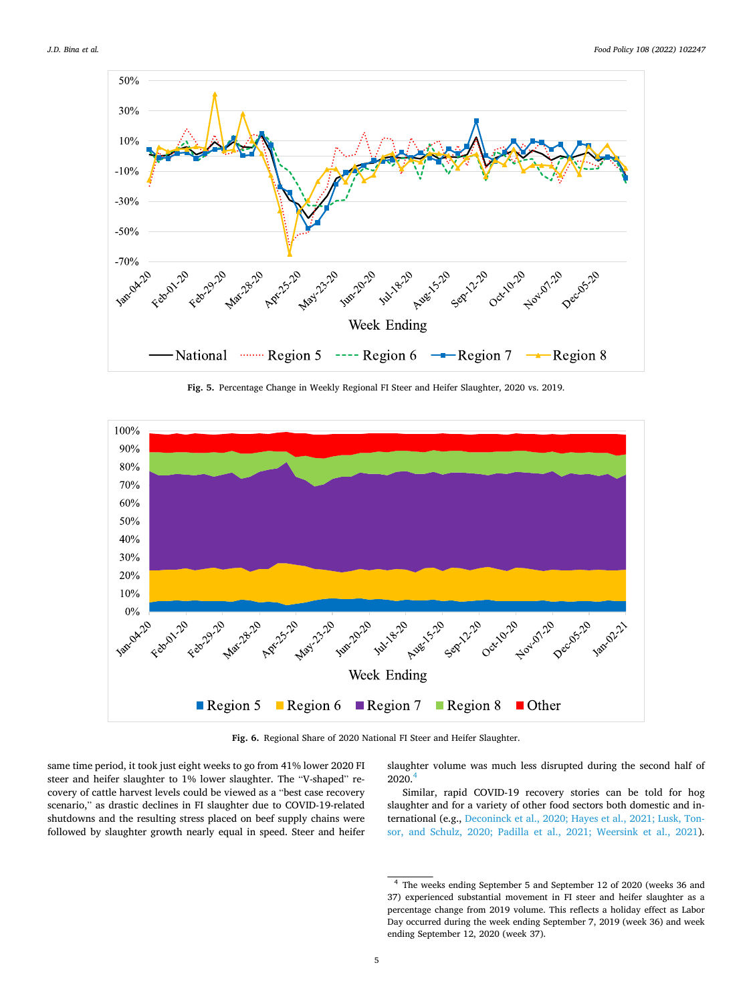<span id="page-4-0"></span>

**Fig. 5.** Percentage Change in Weekly Regional FI Steer and Heifer Slaughter, 2020 vs. 2019.



**Fig. 6.** Regional Share of 2020 National FI Steer and Heifer Slaughter.

same time period, it took just eight weeks to go from 41% lower 2020 FI steer and heifer slaughter to 1% lower slaughter. The "V-shaped" recovery of cattle harvest levels could be viewed as a "best case recovery scenario," as drastic declines in FI slaughter due to COVID-19-related shutdowns and the resulting stress placed on beef supply chains were followed by slaughter growth nearly equal in speed. Steer and heifer slaughter volume was much less disrupted during the second half of  $2020.<sup>4</sup>$ 

Similar, rapid COVID-19 recovery stories can be told for hog slaughter and for a variety of other food sectors both domestic and international (e.g., [Deconinck et al., 2020; Hayes et al., 2021; Lusk, Ton](#page-9-0)[sor, and Schulz, 2020; Padilla et al., 2021; Weersink et al., 2021](#page-9-0)).

<sup>4</sup> The weeks ending September 5 and September 12 of 2020 (weeks 36 and 37) experienced substantial movement in FI steer and heifer slaughter as a percentage change from 2019 volume. This reflects a holiday effect as Labor Day occurred during the week ending September 7, 2019 (week 36) and week ending September 12, 2020 (week 37).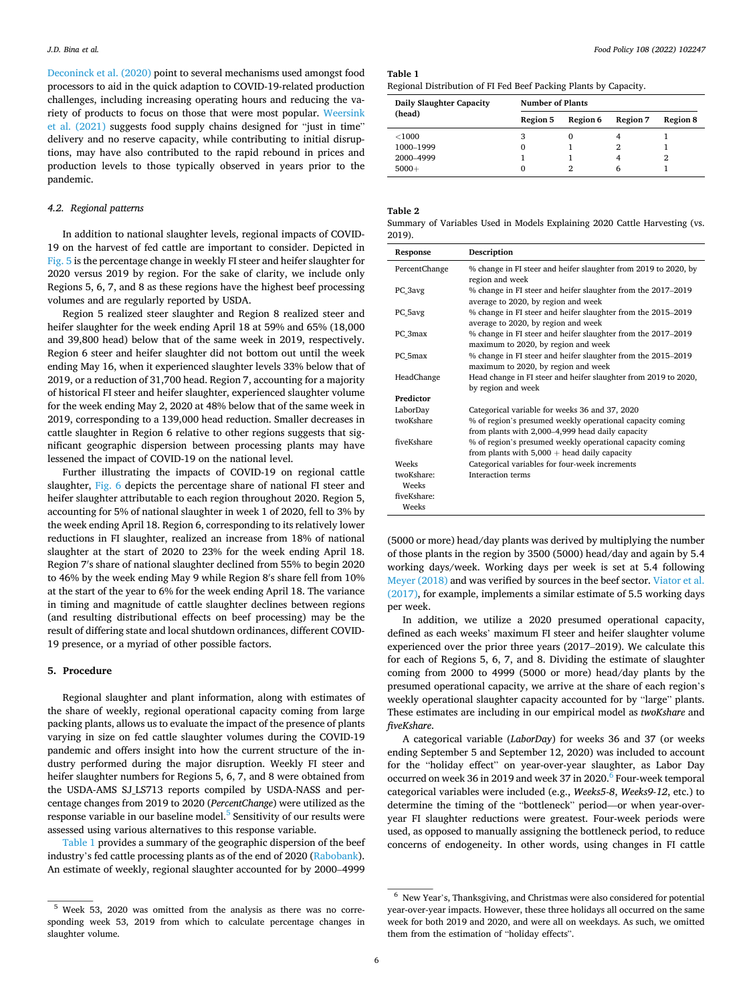<span id="page-5-0"></span>[Deconinck et al. \(2020\)](#page-9-0) point to several mechanisms used amongst food processors to aid in the quick adaption to COVID-19-related production challenges, including increasing operating hours and reducing the variety of products to focus on those that were most popular. [Weersink](#page-9-0)  [et al. \(2021\)](#page-9-0) suggests food supply chains designed for "just in time" delivery and no reserve capacity, while contributing to initial disruptions, may have also contributed to the rapid rebound in prices and production levels to those typically observed in years prior to the pandemic.

## *4.2. Regional patterns*

In addition to national slaughter levels, regional impacts of COVID-19 on the harvest of fed cattle are important to consider. Depicted in [Fig. 5](#page-4-0) is the percentage change in weekly FI steer and heifer slaughter for 2020 versus 2019 by region. For the sake of clarity, we include only Regions 5, 6, 7, and 8 as these regions have the highest beef processing volumes and are regularly reported by USDA.

Region 5 realized steer slaughter and Region 8 realized steer and heifer slaughter for the week ending April 18 at 59% and 65% (18,000 and 39,800 head) below that of the same week in 2019, respectively. Region 6 steer and heifer slaughter did not bottom out until the week ending May 16, when it experienced slaughter levels 33% below that of 2019, or a reduction of 31,700 head. Region 7, accounting for a majority of historical FI steer and heifer slaughter, experienced slaughter volume for the week ending May 2, 2020 at 48% below that of the same week in 2019, corresponding to a 139,000 head reduction. Smaller decreases in cattle slaughter in Region 6 relative to other regions suggests that significant geographic dispersion between processing plants may have lessened the impact of COVID-19 on the national level.

Further illustrating the impacts of COVID-19 on regional cattle slaughter, [Fig. 6](#page-4-0) depicts the percentage share of national FI steer and heifer slaughter attributable to each region throughout 2020. Region 5, accounting for 5% of national slaughter in week 1 of 2020, fell to 3% by the week ending April 18. Region 6, corresponding to its relatively lower reductions in FI slaughter, realized an increase from 18% of national slaughter at the start of 2020 to 23% for the week ending April 18. Region 7′ s share of national slaughter declined from 55% to begin 2020 to 46% by the week ending May 9 while Region 8′ s share fell from 10% at the start of the year to 6% for the week ending April 18. The variance in timing and magnitude of cattle slaughter declines between regions (and resulting distributional effects on beef processing) may be the result of differing state and local shutdown ordinances, different COVID-19 presence, or a myriad of other possible factors.

#### **5. Procedure**

Regional slaughter and plant information, along with estimates of the share of weekly, regional operational capacity coming from large packing plants, allows us to evaluate the impact of the presence of plants varying in size on fed cattle slaughter volumes during the COVID-19 pandemic and offers insight into how the current structure of the industry performed during the major disruption. Weekly FI steer and heifer slaughter numbers for Regions 5, 6, 7, and 8 were obtained from the USDA-AMS SJ\_LS713 reports compiled by USDA-NASS and percentage changes from 2019 to 2020 (*PercentChange*) were utilized as the response variable in our baseline model.<sup>5</sup> Sensitivity of our results were assessed using various alternatives to this response variable.

Table 1 provides a summary of the geographic dispersion of the beef industry's fed cattle processing plants as of the end of 2020 [\(Rabobank](#page-9-0)). An estimate of weekly, regional slaughter accounted for by 2000–4999

**Table 1** 

Regional Distribution of FI Fed Beef Packing Plants by Capacity.

| Daily Slaughter Capacity | <b>Number of Plants</b> |          |                 |                 |  |
|--------------------------|-------------------------|----------|-----------------|-----------------|--|
| (head)                   | <b>Region 5</b>         | Region 6 | <b>Region 7</b> | <b>Region 8</b> |  |
| ${<}1000$                | 3                       |          |                 |                 |  |
| 1000-1999                | 0                       |          |                 |                 |  |
| 2000-4999                |                         |          |                 |                 |  |
| $5000+$                  | 0                       |          | 6               |                 |  |

## **Table 2**

Summary of Variables Used in Models Explaining 2020 Cattle Harvesting (vs. 2019).

| Response            | Description                                                                                                   |
|---------------------|---------------------------------------------------------------------------------------------------------------|
| PercentChange       | % change in FI steer and heifer slaughter from 2019 to 2020, by<br>region and week                            |
| PC 3avg             | % change in FI steer and heifer slaughter from the 2017-2019<br>average to 2020, by region and week           |
| PC 5avg             | % change in FI steer and heifer slaughter from the 2015-2019<br>average to 2020, by region and week           |
| PC 3max             | % change in FI steer and heifer slaughter from the 2017-2019<br>maximum to 2020, by region and week           |
| PC 5max             | % change in FI steer and heifer slaughter from the 2015-2019<br>maximum to 2020, by region and week           |
| HeadChange          | Head change in FI steer and heifer slaughter from 2019 to 2020,<br>by region and week                         |
| Predictor           |                                                                                                               |
| LaborDay            | Categorical variable for weeks 36 and 37, 2020                                                                |
| twoKshare           | % of region's presumed weekly operational capacity coming<br>from plants with 2,000–4,999 head daily capacity |
| fiveKshare          | % of region's presumed weekly operational capacity coming<br>from plants with $5,000 +$ head daily capacity   |
| Weeks               | Categorical variables for four-week increments                                                                |
| twoKshare:<br>Weeks | Interaction terms                                                                                             |
| fiveKshare:         |                                                                                                               |
| Weeks               |                                                                                                               |

(5000 or more) head/day plants was derived by multiplying the number of those plants in the region by 3500 (5000) head/day and again by 5.4 working days/week. Working days per week is set at 5.4 following [Meyer \(2018\)](#page-9-0) and was verified by sources in the beef sector. [Viator et al.](#page-9-0)  [\(2017\),](#page-9-0) for example, implements a similar estimate of 5.5 working days per week.

In addition, we utilize a 2020 presumed operational capacity, defined as each weeks' maximum FI steer and heifer slaughter volume experienced over the prior three years (2017–2019). We calculate this for each of Regions 5, 6, 7, and 8. Dividing the estimate of slaughter coming from 2000 to 4999 (5000 or more) head/day plants by the presumed operational capacity, we arrive at the share of each region's weekly operational slaughter capacity accounted for by "large" plants. These estimates are including in our empirical model as *twoKshare* and *fiveKshare*.

A categorical variable (*LaborDay*) for weeks 36 and 37 (or weeks ending September 5 and September 12, 2020) was included to account for the "holiday effect" on year-over-year slaughter, as Labor Day occurred on week 36 in 2019 and week 37 in 2020.<sup>6</sup> Four-week temporal categorical variables were included (e.g., *Weeks5-8*, *Weeks9-12*, etc.) to determine the timing of the "bottleneck" period—or when year-overyear FI slaughter reductions were greatest. Four-week periods were used, as opposed to manually assigning the bottleneck period, to reduce concerns of endogeneity. In other words, using changes in FI cattle

<sup>5</sup> Week 53, 2020 was omitted from the analysis as there was no corresponding week 53, 2019 from which to calculate percentage changes in slaughter volume.

 $^{\rm 6}$  New Year's, Thanksgiving, and Christmas were also considered for potential year-over-year impacts. However, these three holidays all occurred on the same week for both 2019 and 2020, and were all on weekdays. As such, we omitted them from the estimation of "holiday effects".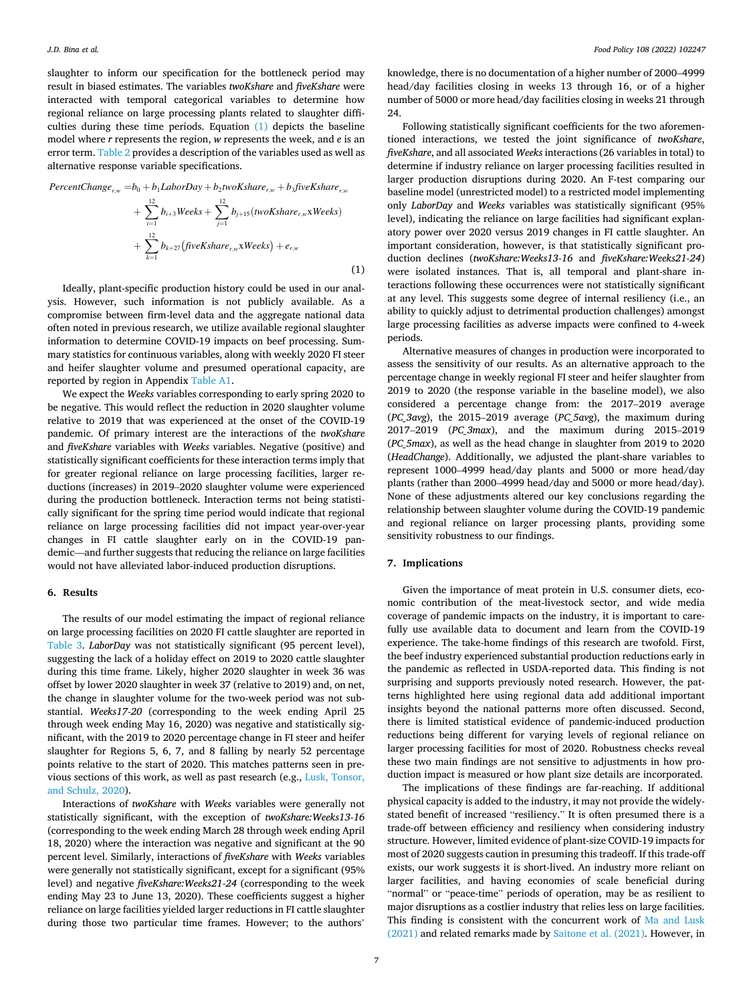slaughter to inform our specification for the bottleneck period may result in biased estimates. The variables *twoKshare* and *fiveKshare* were interacted with temporal categorical variables to determine how regional reliance on large processing plants related to slaughter difficulties during these time periods. Equation (1) depicts the baseline model where *r* represents the region, *w* represents the week, and *e* is an error term. [Table 2](#page-5-0) provides a description of the variables used as well as alternative response variable specifications.

$$
PercentChange_{r,w} = b_0 + b_1 Laboratory + b_2 twoK share_{r,w} + b_3 fiveK share_{r,w}
$$

+ 
$$
\sum_{i=1}^{12} b_{i+3} \text{Weeks} + \sum_{j=1}^{12} b_{j+15} \text{(twoKshare}_{r,w} \text{xWeeks)}
$$
  
+  $\sum_{k=1}^{12} b_{k+27} \text{(fiveKshare}_{r,w} \text{xWeeks}) + e_{r,w}$  (1)

Ideally, plant-specific production history could be used in our analysis. However, such information is not publicly available. As a compromise between firm-level data and the aggregate national data often noted in previous research, we utilize available regional slaughter information to determine COVID-19 impacts on beef processing. Summary statistics for continuous variables, along with weekly 2020 FI steer and heifer slaughter volume and presumed operational capacity, are reported by region in Appendix [Table A1](#page-8-0).

We expect the *Weeks* variables corresponding to early spring 2020 to be negative. This would reflect the reduction in 2020 slaughter volume relative to 2019 that was experienced at the onset of the COVID-19 pandemic. Of primary interest are the interactions of the *twoKshare*  and *fiveKshare* variables with *Weeks* variables. Negative (positive) and statistically significant coefficients for these interaction terms imply that for greater regional reliance on large processing facilities, larger reductions (increases) in 2019–2020 slaughter volume were experienced during the production bottleneck. Interaction terms not being statistically significant for the spring time period would indicate that regional reliance on large processing facilities did not impact year-over-year changes in FI cattle slaughter early on in the COVID-19 pandemic—and further suggests that reducing the reliance on large facilities would not have alleviated labor-induced production disruptions.

#### **6. Results**

The results of our model estimating the impact of regional reliance on large processing facilities on 2020 FI cattle slaughter are reported in [Table 3.](#page-7-0) *LaborDay* was not statistically significant (95 percent level), suggesting the lack of a holiday effect on 2019 to 2020 cattle slaughter during this time frame. Likely, higher 2020 slaughter in week 36 was offset by lower 2020 slaughter in week 37 (relative to 2019) and, on net, the change in slaughter volume for the two-week period was not substantial. *Weeks17-20* (corresponding to the week ending April 25 through week ending May 16, 2020) was negative and statistically significant, with the 2019 to 2020 percentage change in FI steer and heifer slaughter for Regions 5, 6, 7, and 8 falling by nearly 52 percentage points relative to the start of 2020. This matches patterns seen in previous sections of this work, as well as past research (e.g., [Lusk, Tonsor,](#page-9-0)  [and Schulz, 2020\)](#page-9-0).

Interactions of *twoKshare* with *Weeks* variables were generally not statistically significant, with the exception of *twoKshare:Weeks13-16*  (corresponding to the week ending March 28 through week ending April 18, 2020) where the interaction was negative and significant at the 90 percent level. Similarly, interactions of *fiveKshare* with *Weeks* variables were generally not statistically significant, except for a significant (95% level) and negative *fiveKshare:Weeks21-24* (corresponding to the week ending May 23 to June 13, 2020). These coefficients suggest a higher reliance on large facilities yielded larger reductions in FI cattle slaughter during those two particular time frames. However; to the authors'

knowledge, there is no documentation of a higher number of 2000–4999 head/day facilities closing in weeks 13 through 16, or of a higher number of 5000 or more head/day facilities closing in weeks 21 through 24.

Following statistically significant coefficients for the two aforementioned interactions, we tested the joint significance of *twoKshare*, *fiveKshare*, and all associated *Weeks* interactions (26 variables in total) to determine if industry reliance on larger processing facilities resulted in larger production disruptions during 2020. An F-test comparing our baseline model (unrestricted model) to a restricted model implementing only *LaborDay* and *Weeks* variables was statistically significant (95% level), indicating the reliance on large facilities had significant explanatory power over 2020 versus 2019 changes in FI cattle slaughter. An important consideration, however, is that statistically significant production declines (*twoKshare:Weeks13-16* and *fiveKshare:Weeks21-24*) were isolated instances. That is, all temporal and plant-share interactions following these occurrences were not statistically significant at any level. This suggests some degree of internal resiliency (i.e., an ability to quickly adjust to detrimental production challenges) amongst large processing facilities as adverse impacts were confined to 4-week periods.

Alternative measures of changes in production were incorporated to assess the sensitivity of our results. As an alternative approach to the percentage change in weekly regional FI steer and heifer slaughter from 2019 to 2020 (the response variable in the baseline model), we also considered a percentage change from: the 2017–2019 average (*PC\_3avg*), the 2015–2019 average (*PC\_5avg*), the maximum during 2017–2019 (*PC\_3max*), and the maximum during 2015–2019 (*PC\_5max*), as well as the head change in slaughter from 2019 to 2020 (*HeadChange*). Additionally, we adjusted the plant-share variables to represent 1000–4999 head/day plants and 5000 or more head/day plants (rather than 2000–4999 head/day and 5000 or more head/day). None of these adjustments altered our key conclusions regarding the relationship between slaughter volume during the COVID-19 pandemic and regional reliance on larger processing plants, providing some sensitivity robustness to our findings.

#### **7. Implications**

Given the importance of meat protein in U.S. consumer diets, economic contribution of the meat-livestock sector, and wide media coverage of pandemic impacts on the industry, it is important to carefully use available data to document and learn from the COVID-19 experience. The take-home findings of this research are twofold. First, the beef industry experienced substantial production reductions early in the pandemic as reflected in USDA-reported data. This finding is not surprising and supports previously noted research. However, the patterns highlighted here using regional data add additional important insights beyond the national patterns more often discussed. Second, there is limited statistical evidence of pandemic-induced production reductions being different for varying levels of regional reliance on larger processing facilities for most of 2020. Robustness checks reveal these two main findings are not sensitive to adjustments in how production impact is measured or how plant size details are incorporated.

The implications of these findings are far-reaching. If additional physical capacity is added to the industry, it may not provide the widelystated benefit of increased "resiliency." It is often presumed there is a trade-off between efficiency and resiliency when considering industry structure. However, limited evidence of plant-size COVID-19 impacts for most of 2020 suggests caution in presuming this tradeoff. If this trade-off exists, our work suggests it is short-lived. An industry more reliant on larger facilities, and having economies of scale beneficial during "normal" or "peace-time" periods of operation, may be as resilient to major disruptions as a costlier industry that relies less on large facilities. This finding is consistent with the concurrent work of [Ma and Lusk](#page-9-0)  [\(2021\)](#page-9-0) and related remarks made by [Saitone et al. \(2021\)](#page-9-0). However, in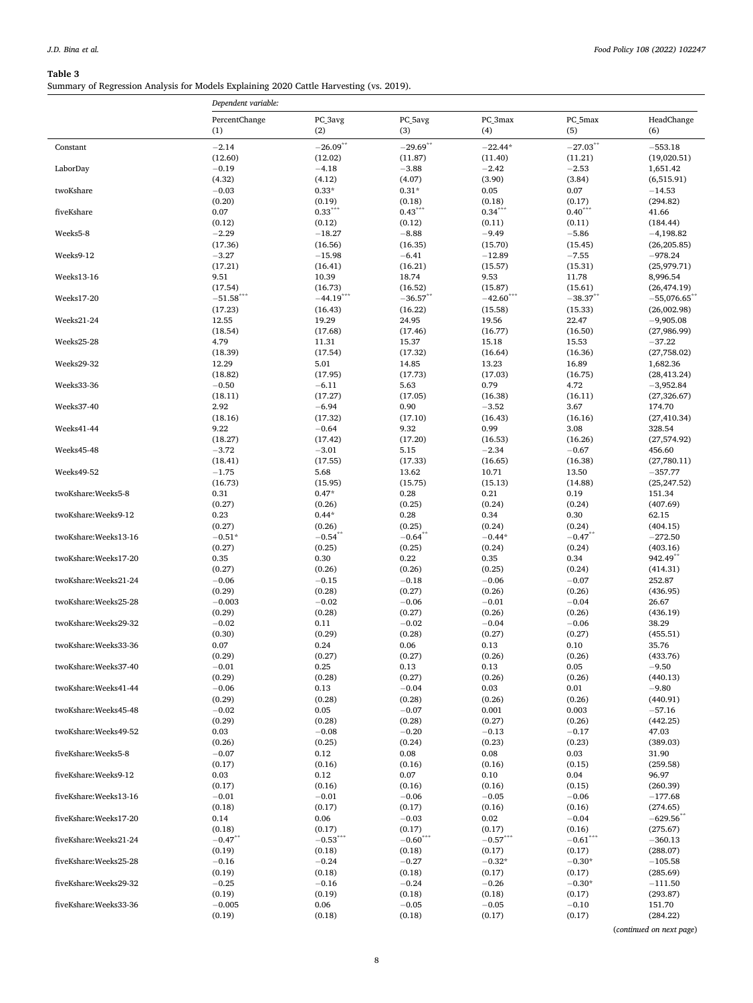## <span id="page-7-0"></span>**Table 3**

Summary of Regression Analysis for Models Explaining 2020 Cattle Harvesting (vs. 2019).

|                       | Dependent variable:             |                      |                       |                      |                      |                             |
|-----------------------|---------------------------------|----------------------|-----------------------|----------------------|----------------------|-----------------------------|
|                       | PercentChange                   | PC_3avg              | PC_5avg               | PC_3max              | PC_5max              | HeadChange                  |
|                       | (1)                             | (2)                  | (3)                   | (4)                  | (5)                  | (6)                         |
| Constant              | $-2.14$                         | $-26.09$ **          | $-29.69$ **           | $-22.44*$            | $-27.03$ **          | $-553.18$                   |
| LaborDay              | (12.60)<br>$-0.19$              | (12.02)<br>$-4.18$   | (11.87)<br>$-3.88$    | (11.40)<br>$-2.42$   | (11.21)<br>$-2.53$   | (19,020.51)<br>1,651.42     |
|                       | (4.32)                          | (4.12)               | (4.07)                | (3.90)               | (3.84)               | (6,515.91)                  |
| twoKshare             | $-0.03$                         | $0.33*$              | $0.31*$               | 0.05                 | 0.07                 | $-14.53$                    |
|                       | (0.20)                          | (0.19)               | (0.18)                | (0.18)               | (0.17)               | (294.82)                    |
| fiveKshare            | 0.07<br>(0.12)                  | $0.33***$<br>(0.12)  | $0.43***$<br>(0.12)   | $0.34***$<br>(0.11)  | $0.40***$<br>(0.11)  | 41.66<br>(184.44)           |
| Weeks5-8              | $-2.29$                         | $-18.27$             | $-8.88$               | $-9.49$              | $-5.86$              | $-4,198.82$                 |
|                       | (17.36)                         | (16.56)              | (16.35)               | (15.70)              | (15.45)              | (26, 205.85)                |
| Weeks9-12             | $-3.27$                         | $-15.98$             | $-6.41$               | $-12.89$             | $-7.55$              | $-978.24$                   |
| Weeks13-16            | (17.21)<br>9.51                 | (16.41)<br>10.39     | (16.21)<br>18.74      | (15.57)<br>9.53      | (15.31)<br>11.78     | (25,979.71)<br>8,996.54     |
|                       | (17.54)                         | (16.73)              | (16.52)               | (15.87)              | (15.61)              | (26, 474.19)                |
| Weeks17-20            | $-51.58***$                     | $-44.19***$          | $-36.57$ **           | $-42.60***$          | $-38.37$ **          | $-55,076.65$                |
|                       | (17.23)                         | (16.43)              | (16.22)               | (15.58)              | (15.33)              | (26,002.98)                 |
| Weeks21-24            | 12.55                           | 19.29                | 24.95                 | 19.56                | 22.47                | $-9,905.08$                 |
| Weeks25-28            | (18.54)<br>4.79                 | (17.68)<br>11.31     | (17.46)<br>15.37      | (16.77)<br>15.18     | (16.50)<br>15.53     | (27,986.99)<br>$-37.22$     |
|                       | (18.39)                         | (17.54)              | (17.32)               | (16.64)              | (16.36)              | (27,758.02)                 |
| Weeks29-32            | 12.29                           | 5.01                 | 14.85                 | 13.23                | 16.89                | 1,682.36                    |
|                       | (18.82)                         | (17.95)              | (17.73)               | (17.03)              | (16.75)              | (28, 413.24)                |
| Weeks33-36            | $-0.50$<br>(18.11)              | $-6.11$<br>(17.27)   | 5.63<br>(17.05)       | 0.79<br>(16.38)      | 4.72<br>(16.11)      | $-3,952.84$<br>(27, 326.67) |
| Weeks37-40            | 2.92                            | $-6.94$              | 0.90                  | $-3.52$              | 3.67                 | 174.70                      |
|                       | (18.16)                         | (17.32)              | (17.10)               | (16.43)              | (16.16)              | (27, 410.34)                |
| Weeks41-44            | 9.22                            | $-0.64$              | 9.32                  | 0.99                 | 3.08                 | 328.54                      |
| Weeks45-48            | (18.27)<br>$-3.72$              | (17.42)<br>$-3.01$   | (17.20)<br>5.15       | (16.53)<br>$-2.34$   | (16.26)<br>$-0.67$   | (27, 574.92)<br>456.60      |
|                       | (18.41)                         | (17.55)              | (17.33)               | (16.65)              | (16.38)              | (27,780.11)                 |
| Weeks49-52            | $-1.75$                         | 5.68                 | 13.62                 | 10.71                | 13.50                | $-357.77$                   |
|                       | (16.73)                         | (15.95)              | (15.75)               | (15.13)              | (14.88)              | (25, 247.52)                |
| twoKshare:Weeks5-8    | 0.31<br>(0.27)                  | $0.47*$<br>(0.26)    | 0.28<br>(0.25)        | 0.21<br>(0.24)       | 0.19<br>(0.24)       | 151.34<br>(407.69)          |
| twoKshare:Weeks9-12   | 0.23                            | $0.44*$              | 0.28                  | 0.34                 | 0.30                 | 62.15                       |
|                       | (0.27)                          | (0.26)               | (0.25)                | (0.24)               | (0.24)               | (404.15)                    |
| twoKshare:Weeks13-16  | $-0.51*$                        | $-0.54$              | $-0.64$ **            | $-0.44*$             | $-0.47$ **           | $-272.50$                   |
| twoKshare:Weeks17-20  | (0.27)<br>0.35                  | (0.25)<br>0.30       | (0.25)<br>0.22        | (0.24)               | (0.24)<br>0.34       | (403.16)<br>942.49**        |
|                       | (0.27)                          | (0.26)               | (0.26)                | 0.35<br>(0.25)       | (0.24)               | (414.31)                    |
| twoKshare:Weeks21-24  | $-0.06$                         | $-0.15$              | $-0.18$               | $-0.06$              | $-0.07$              | 252.87                      |
|                       | (0.29)                          | (0.28)               | (0.27)                | (0.26)               | (0.26)               | (436.95)                    |
| twoKshare:Weeks25-28  | $-0.003$<br>(0.29)              | $-0.02$<br>(0.28)    | $-0.06$<br>(0.27)     | $-0.01$<br>(0.26)    | $-0.04$<br>(0.26)    | 26.67<br>(436.19)           |
| twoKshare:Weeks29-32  | $-0.02$                         | 0.11                 | $-0.02$               | $-0.04$              | $-0.06$              | 38.29                       |
|                       | (0.30)                          | (0.29)               | (0.28)                | (0.27)               | (0.27)               | (455.51)                    |
| twoKshare:Weeks33-36  | 0.07                            | 0.24                 | 0.06                  | 0.13                 | 0.10                 | 35.76                       |
|                       | (0.29)<br>$-0.01$               | (0.27)               | (0.27)                | (0.26)<br>0.13       | (0.26)<br>0.05       | (433.76)<br>$-9.50$         |
| twoKshare:Weeks37-40  | (0.29)                          | 0.25<br>(0.28)       | 0.13<br>(0.27)        | (0.26)               | (0.26)               | (440.13)                    |
| twoKshare:Weeks41-44  | $-0.06$                         | 0.13                 | $-0.04$               | 0.03                 | 0.01                 | $-9.80$                     |
|                       | (0.29)                          | (0.28)               | (0.28)                | (0.26)               | (0.26)               | (440.91)                    |
| twoKshare:Weeks45-48  | $-0.02$                         | 0.05                 | $-0.07$               | 0.001                | 0.003                | $-57.16$                    |
| twoKshare:Weeks49-52  | (0.29)<br>0.03                  | (0.28)<br>$-0.08$    | (0.28)<br>$-0.20$     | (0.27)<br>$-0.13$    | (0.26)<br>$-0.17$    | (442.25)<br>47.03           |
|                       | (0.26)                          | (0.25)               | (0.24)                | (0.23)               | (0.23)               | (389.03)                    |
| fiveKshare:Weeks5-8   | $-0.07$                         | 0.12                 | 0.08                  | 0.08                 | 0.03                 | 31.90                       |
|                       | (0.17)                          | (0.16)               | (0.16)                | (0.16)               | (0.15)               | (259.58)                    |
| fiveKshare:Weeks9-12  | 0.03<br>(0.17)                  | 0.12<br>(0.16)       | 0.07<br>(0.16)        | 0.10<br>(0.16)       | 0.04<br>(0.15)       | 96.97<br>(260.39)           |
| fiveKshare:Weeks13-16 | $-0.01$                         | $-0.01$              | $-0.06$               | $-0.05$              | $-0.06$              | $-177.68$                   |
|                       | (0.18)                          | (0.17)               | (0.17)                | (0.16)               | (0.16)               | (274.65)                    |
| fiveKshare:Weeks17-20 | 0.14                            | 0.06                 | $-0.03$               | 0.02                 | $-0.04$              | $-629.56$                   |
| fiveKshare:Weeks21-24 | (0.18)<br>$-0.47$ <sup>**</sup> | (0.17)<br>$-0.53***$ | (0.17)<br>$-0.60$ *** | (0.17)<br>$-0.57***$ | (0.16)<br>$-0.61***$ | (275.67)<br>$-360.13$       |
|                       | (0.19)                          | (0.18)               | (0.18)                | (0.17)               | (0.17)               | (288.07)                    |
| fiveKshare:Weeks25-28 | $-0.16$                         | $-0.24$              | $-0.27$               | $-0.32*$             | $-0.30*$             | $-105.58$                   |
|                       | (0.19)                          | (0.18)               | (0.18)                | (0.17)               | (0.17)               | (285.69)                    |
| fiveKshare:Weeks29-32 | $-0.25$                         | $-0.16$              | $-0.24$               | $-0.26$              | $-0.30*$             | $-111.50$                   |
| fiveKshare:Weeks33-36 | (0.19)<br>$-0.005$              | (0.19)<br>0.06       | (0.18)<br>$-0.05$     | (0.18)<br>$-0.05$    | (0.17)<br>$-0.10$    | (293.87)<br>151.70          |
|                       | (0.19)                          | (0.18)               | (0.18)                | (0.17)               | (0.17)               | (284.22)                    |

(*continued on next page*)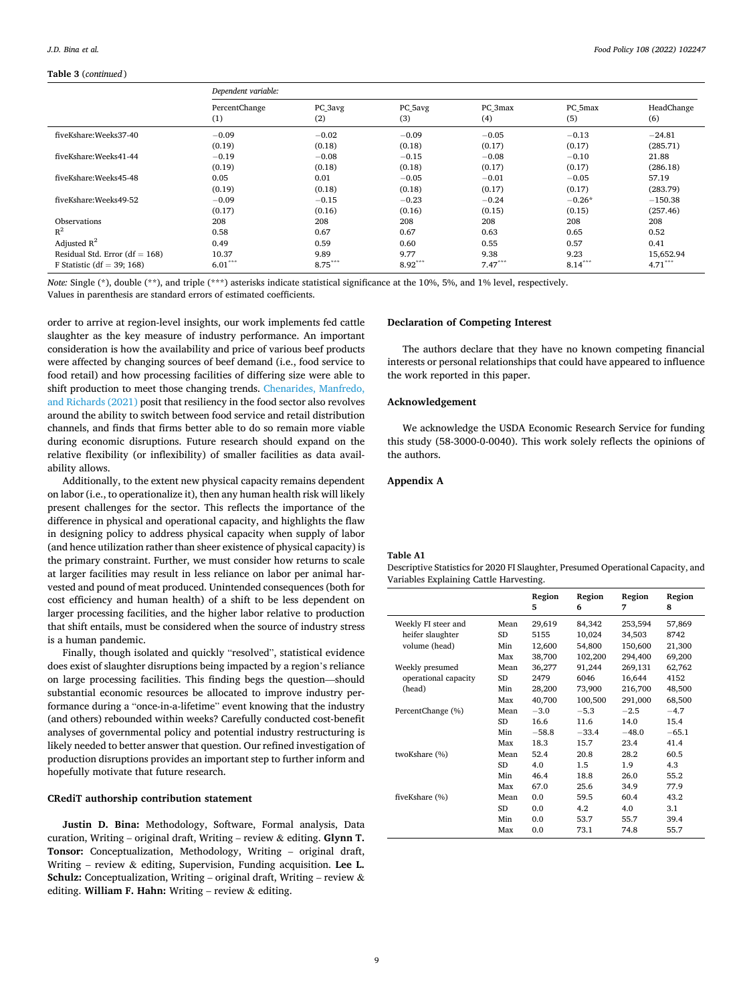#### <span id="page-8-0"></span>**Table 3** (*continued* )

|                                  | Dependent variable:  |                |                |                |                |                   |
|----------------------------------|----------------------|----------------|----------------|----------------|----------------|-------------------|
|                                  | PercentChange<br>(1) | PC 3avg<br>(2) | PC 5avg<br>(3) | PC 3max<br>(4) | PC 5max<br>(5) | HeadChange<br>(6) |
| fiveKshare:Weeks37-40            | $-0.09$              | $-0.02$        | $-0.09$        | $-0.05$        | $-0.13$        | $-24.81$          |
|                                  | (0.19)               | (0.18)         | (0.18)         | (0.17)         | (0.17)         | (285.71)          |
| fiveKshare:Weeks41-44            | $-0.19$              | $-0.08$        | $-0.15$        | $-0.08$        | $-0.10$        | 21.88             |
|                                  | (0.19)               | (0.18)         | (0.18)         | (0.17)         | (0.17)         | (286.18)          |
| fiveKshare:Weeks45-48            | 0.05                 | 0.01           | $-0.05$        | $-0.01$        | $-0.05$        | 57.19             |
|                                  | (0.19)               | (0.18)         | (0.18)         | (0.17)         | (0.17)         | (283.79)          |
| fiveKshare:Weeks49-52            | $-0.09$              | $-0.15$        | $-0.23$        | $-0.24$        | $-0.26*$       | $-150.38$         |
|                                  | (0.17)               | (0.16)         | (0.16)         | (0.15)         | (0.15)         | (257.46)          |
| Observations                     | 208                  | 208            | 208            | 208            | 208            | 208               |
| $R^2$                            | 0.58                 | 0.67           | 0.67           | 0.63           | 0.65           | 0.52              |
| Adjusted $R^2$                   | 0.49                 | 0.59           | 0.60           | 0.55           | 0.57           | 0.41              |
| Residual Std. Error $(df = 168)$ | 10.37                | 9.89           | 9.77           | 9.38           | 9.23           | 15,652.94         |
| F Statistic (df = 39; 168)       | $6.01***$            | $8.75***$      | $8.92***$      | $7.47***$      | $8.14***$      | $4.71***$         |

*Note:* Single (\*), double (\*\*), and triple (\*\*\*) asterisks indicate statistical significance at the 10%, 5%, and 1% level, respectively. Values in parenthesis are standard errors of estimated coefficients.

order to arrive at region-level insights, our work implements fed cattle slaughter as the key measure of industry performance. An important consideration is how the availability and price of various beef products were affected by changing sources of beef demand (i.e., food service to food retail) and how processing facilities of differing size were able to shift production to meet those changing trends. [Chenarides, Manfredo,](#page-9-0)  [and Richards \(2021\)](#page-9-0) posit that resiliency in the food sector also revolves around the ability to switch between food service and retail distribution channels, and finds that firms better able to do so remain more viable during economic disruptions. Future research should expand on the relative flexibility (or inflexibility) of smaller facilities as data availability allows.

Additionally, to the extent new physical capacity remains dependent on labor (i.e., to operationalize it), then any human health risk will likely present challenges for the sector. This reflects the importance of the difference in physical and operational capacity, and highlights the flaw in designing policy to address physical capacity when supply of labor (and hence utilization rather than sheer existence of physical capacity) is the primary constraint. Further, we must consider how returns to scale at larger facilities may result in less reliance on labor per animal harvested and pound of meat produced. Unintended consequences (both for cost efficiency and human health) of a shift to be less dependent on larger processing facilities, and the higher labor relative to production that shift entails, must be considered when the source of industry stress is a human pandemic.

Finally, though isolated and quickly "resolved", statistical evidence does exist of slaughter disruptions being impacted by a region's reliance on large processing facilities. This finding begs the question—should substantial economic resources be allocated to improve industry performance during a "once-in-a-lifetime" event knowing that the industry (and others) rebounded within weeks? Carefully conducted cost-benefit analyses of governmental policy and potential industry restructuring is likely needed to better answer that question. Our refined investigation of production disruptions provides an important step to further inform and hopefully motivate that future research.

## **CRediT authorship contribution statement**

**Justin D. Bina:** Methodology, Software, Formal analysis, Data curation, Writing – original draft, Writing – review & editing. **Glynn T. Tonsor:** Conceptualization, Methodology, Writing – original draft, Writing – review & editing, Supervision, Funding acquisition. **Lee L. Schulz:** Conceptualization, Writing – original draft, Writing – review & editing. **William F. Hahn:** Writing – review & editing.

#### **Declaration of Competing Interest**

The authors declare that they have no known competing financial interests or personal relationships that could have appeared to influence the work reported in this paper.

## **Acknowledgement**

We acknowledge the USDA Economic Research Service for funding this study (58-3000-0-0040). This work solely reflects the opinions of the authors.

## **Appendix A**

#### **Table A1**

Descriptive Statistics for 2020 FI Slaughter, Presumed Operational Capacity, and Variables Explaining Cattle Harvesting.

|                      |           | Region<br>5 | Region<br>6 | Region<br>7 | Region<br>8 |
|----------------------|-----------|-------------|-------------|-------------|-------------|
| Weekly FI steer and  | Mean      | 29,619      | 84,342      | 253,594     | 57,869      |
| heifer slaughter     | SD        | 5155        | 10,024      | 34,503      | 8742        |
| volume (head)        | Min       | 12,600      | 54,800      | 150,600     | 21,300      |
|                      | Max       | 38,700      | 102,200     | 294,400     | 69,200      |
| Weekly presumed      | Mean      | 36,277      | 91,244      | 269,131     | 62,762      |
| operational capacity | SD        | 2479        | 6046        | 16,644      | 4152        |
| (head)               | Min       | 28,200      | 73,900      | 216,700     | 48,500      |
|                      | Max       | 40,700      | 100,500     | 291,000     | 68,500      |
| PercentChange (%)    | Mean      | $-3.0$      | $-5.3$      | $-2.5$      | $-4.7$      |
|                      | <b>SD</b> | 16.6        | 11.6        | 14.0        | 15.4        |
|                      | Min       | $-58.8$     | $-33.4$     | $-48.0$     | $-65.1$     |
|                      | Max       | 18.3        | 15.7        | 23.4        | 41.4        |
| twoKshare (%)        | Mean      | 52.4        | 20.8        | 28.2        | 60.5        |
|                      | <b>SD</b> | 4.0         | 1.5         | 1.9         | 4.3         |
|                      | Min       | 46.4        | 18.8        | 26.0        | 55.2        |
|                      | Max       | 67.0        | 25.6        | 34.9        | 77.9        |
| fiveKshare (%)       | Mean      | 0.0         | 59.5        | 60.4        | 43.2        |
|                      | <b>SD</b> | 0.0         | 4.2         | 4.0         | 3.1         |
|                      | Min       | 0.0         | 53.7        | 55.7        | 39.4        |
|                      | Max       | 0.0         | 73.1        | 74.8        | 55.7        |
|                      |           |             |             |             |             |